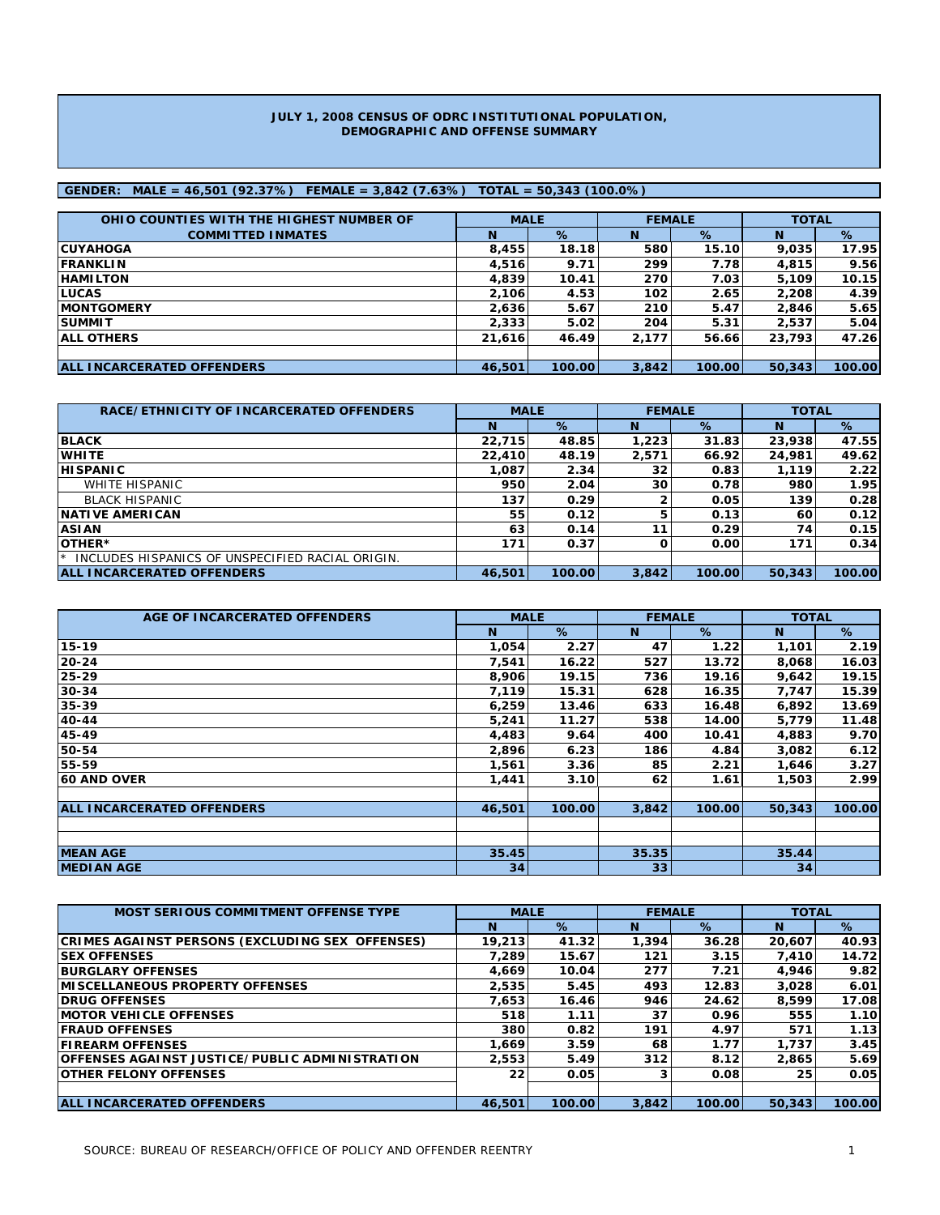#### **JULY 1, 2008 CENSUS OF ODRC INSTITUTIONAL POPULATION, DEMOGRAPHIC AND OFFENSE SUMMARY**

### **GENDER: MALE = 46,501 (92.37%) FEMALE = 3,842 (7.63%) TOTAL = 50,343 (100.0%)**

| OHIO COUNTIES WITH THE HIGHEST NUMBER OF | <b>MALE</b> |        |       | <b>FEMALE</b> | <b>TOTAL</b> |        |
|------------------------------------------|-------------|--------|-------|---------------|--------------|--------|
| <b>COMMITTED INMATES</b>                 | N           | %      | N     | %             | <b>N</b>     | %      |
| <b>ICUYAHOGA</b>                         | 8,455       | 18.18  | 580   | 15.10         | 9,035        | 17.95  |
| <b>IFRANKLIN</b>                         | 4,516       | 9.71   | 299   | 7.78          | 4,815        | 9.56   |
| <b>HAMILTON</b>                          | 4,839       | 10.41  | 270   | 7.03          | 5.109        | 10.15  |
| <b>ILUCAS</b>                            | 2,106       | 4.53   | 102   | 2.65          | 2,208        | 4.39   |
| <b>IMONTGOMERY</b>                       | 2.636       | 5.67   | 210   | 5.47          | 2.846        | 5.65   |
| <b>SUMMIT</b>                            | 2,333       | 5.02   | 204   | 5.31          | 2,537        | 5.04   |
| <b>JALL OTHERS</b>                       | 21,616      | 46.49  | 2,177 | 56.66         | 23,793       | 47.26  |
|                                          |             |        |       |               |              |        |
| <b>ALL INCARCERATED OFFENDERS</b>        | 46,501      | 100.00 | 3,842 | 100.00        | 50.343       | 100.00 |

| RACE/ETHNICITY OF INCARCERATED OFFENDERS              | <b>MALE</b> |        | <b>FEMALE</b> |        | <b>TOTAL</b> |        |  |
|-------------------------------------------------------|-------------|--------|---------------|--------|--------------|--------|--|
|                                                       | N           | %      | N             | %      | N            | %      |  |
| <b>BLACK</b>                                          | 22,715      | 48.85  | 1,223         | 31.83  | 23,938       | 47.55  |  |
| <b>WHITE</b>                                          | 22,410      | 48.19  | 2,571         | 66.92  | 24,981       | 49.62  |  |
| <b>HISPANIC</b>                                       | 1.087       | 2.34   | 32            | 0.83   | 1.119        | 2.22   |  |
| WHITE HISPANIC                                        | 950         | 2.04   | 30            | 0.78   | 980          | 1.95   |  |
| <b>BLACK HISPANIC</b>                                 | 137         | 0.29   |               | 0.05   | 139          | 0.28   |  |
| <b>INATIVE AMERICAN</b>                               | 55          | 0.12   |               | 0.13   | 60           | 0.12   |  |
| <b>ASIAN</b>                                          | 63          | 0.14   | 11            | 0.29   | 74           | 0.15   |  |
| OTHER*                                                | 171         | 0.37   |               | 0.00   | 171          | 0.34   |  |
| INCLUDES HISPANICS OF UNSPECIFIED RACIAL ORIGIN.<br>★ |             |        |               |        |              |        |  |
| <b>ALL INCARCERATED OFFENDERS</b>                     | 46,501      | 100.00 | 3,842         | 100.00 | 50.343       | 100.00 |  |

| AGE OF INCARCERATED OFFENDERS     | <b>MALE</b> |        | <b>FEMALE</b>   |        | <b>TOTAL</b> |        |
|-----------------------------------|-------------|--------|-----------------|--------|--------------|--------|
|                                   | N           | %      | <b>N</b>        | %      | N            | %      |
| 15-19                             | 1,054       | 2.27   | 47              | 1.22   | 1,101        | 2.19   |
| $20 - 24$                         | 7,541       | 16.22  | 527             | 13.72  | 8,068        | 16.03  |
| 25-29                             | 8,906       | 19.15  | 736             | 19.16  | 9,642        | 19.15  |
| $30 - 34$                         | 7,119       | 15.31  | 628             | 16.35  | 7,747        | 15.39  |
| 35-39                             | 6,259       | 13.46  | 633             | 16.48  | 6,892        | 13.69  |
| 40-44                             | 5,241       | 11.27  | 538             | 14.00  | 5,779        | 11.48  |
| 45-49                             | 4,483       | 9.64   | 400             | 10.41  | 4,883        | 9.70   |
| 50-54                             | 2,896       | 6.23   | 186             | 4.84   | 3,082        | 6.12   |
| 55-59                             | 1,561       | 3.36   | 85              | 2.21   | 1,646        | 3.27   |
| <b>60 AND OVER</b>                | 1,441       | 3.10   | 62              | 1.61   | 1,503        | 2.99   |
|                                   |             |        |                 |        |              |        |
| <b>ALL INCARCERATED OFFENDERS</b> | 46,501      | 100.00 | 3,842           | 100.00 | 50,343       | 100.00 |
|                                   |             |        |                 |        |              |        |
|                                   |             |        |                 |        |              |        |
| <b>MEAN AGE</b>                   | 35.45       |        | 35.35           |        | 35.44        |        |
| <b>IMEDIAN AGE</b>                | 34          |        | 33 <sub>1</sub> |        | 34           |        |

| <b>MOST SERIOUS COMMITMENT OFFENSE TYPE</b>     | <b>MALE</b> |        | <b>FEMALE</b> |        | <b>TOTAL</b> |        |
|-------------------------------------------------|-------------|--------|---------------|--------|--------------|--------|
|                                                 | N           | $\%$   | N             | %      | N            | %      |
| CRIMES AGAINST PERSONS (EXCLUDING SEX OFFENSES) | 19.213      | 41.32  | 1.394         | 36.28  | 20,607       | 40.93  |
| <b>SEX OFFENSES</b>                             | 7.289       | 15.67  | 121           | 3.15   | 7.410        | 14.72  |
| <b>BURGLARY OFFENSES</b>                        | 4,669       | 10.04  | 277           | 7.21   | 4,946        | 9.82   |
| <b>IMISCELLANEOUS PROPERTY OFFENSES</b>         | 2,535       | 5.45   | 493           | 12.83  | 3.028        | 6.01   |
| <b>IDRUG OFFENSES</b>                           | 7.653       | 16.46  | 946           | 24.62  | 8,599        | 17.08  |
| <b>IMOTOR VEHICLE OFFENSES</b>                  | 518         | 1.11   | 37            | 0.96   | 555          | 1.10   |
| <b>IFRAUD OFFENSES</b>                          | 380         | 0.82   | 191           | 4.97   | 571          | 1.13   |
| <b>FIREARM OFFENSES</b>                         | 1,669       | 3.59   | 68            | 1.77   | 1,737        | 3.45   |
| IOFFENSES AGAINST JUSTICE/PUBLIC ADMINISTRATION | 2.553       | 5.49   | 312           | 8.12   | 2.865        | 5.69   |
| <b>IOTHER FELONY OFFENSES</b>                   | 22          | 0.05   |               | 0.08   | 25           | 0.05   |
|                                                 |             |        |               |        |              |        |
| <b>ALL INCARCERATED OFFENDERS</b>               | 46,501      | 100.00 | 3.842         | 100.00 | 50.343       | 100.00 |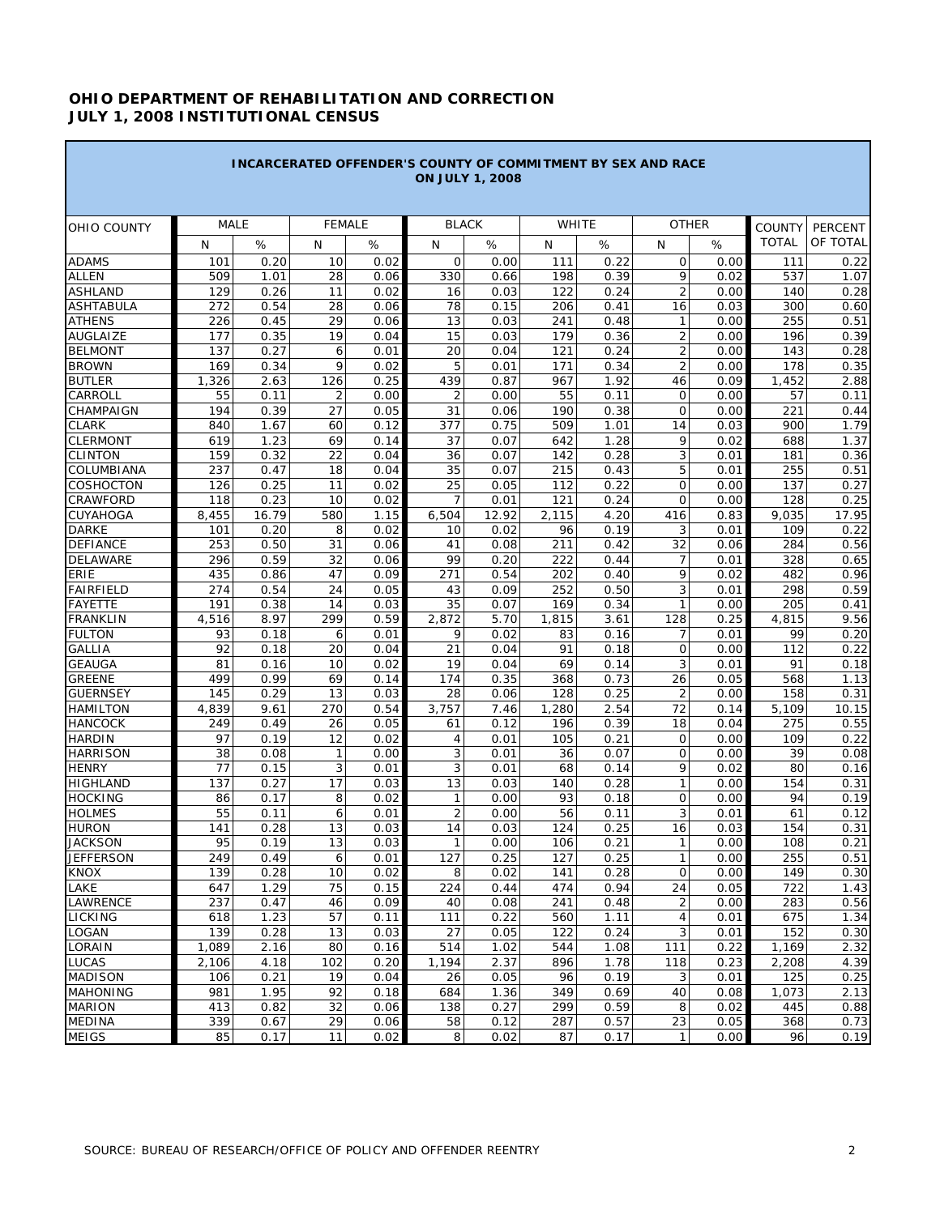## **OHIO DEPARTMENT OF REHABILITATION AND CORRECTION JULY 1, 2008 INSTITUTIONAL CENSUS**

| <b>INCARCERATED OFFENDER'S COUNTY OF COMMITMENT BY SEX AND RACE</b><br><b>ON JULY 1, 2008</b> |             |              |               |              |                |              |            |              |                      |              |               |              |
|-----------------------------------------------------------------------------------------------|-------------|--------------|---------------|--------------|----------------|--------------|------------|--------------|----------------------|--------------|---------------|--------------|
| OHIO COUNTY                                                                                   | <b>MALE</b> |              | <b>FEMALE</b> |              |                | <b>BLACK</b> |            | WHITE        | <b>OTHER</b>         |              | <b>COUNTY</b> | PERCENT      |
|                                                                                               | N           | $\%$         | N             | %            | N              | $\%$         | N          | %            | N                    | %            | <b>TOTAL</b>  | OF TOTAL     |
| <b>ADAMS</b>                                                                                  | 101         | 0.20         | 10            | 0.02         | $\mathbf{O}$   | 0.00         | 111        | 0.22         | 0                    | 0.00         | 111           | 0.22         |
| <b>ALLEN</b>                                                                                  | 509         | 1.01         | 28            | 0.06         | 330            | 0.66         | 198        | 0.39         | 9                    | 0.02         | 537           | 1.07         |
| <b>ASHLAND</b>                                                                                | 129         | 0.26         | 11            | 0.02         | 16             | 0.03         | 122        | 0.24         | $\overline{2}$       | 0.00         | 140           | 0.28         |
| <b>ASHTABULA</b>                                                                              | 272         | 0.54         | 28            | 0.06         | 78             | 0.15         | 206        | 0.41         | 16                   | 0.03         | 300           | 0.60         |
| <b>ATHENS</b>                                                                                 | 226         | 0.45         | 29            | 0.06         | 13             | 0.03         | 241        | 0.48         | 1                    | 0.00         | 255           | 0.51         |
| <b>AUGLAIZE</b>                                                                               | 177         | 0.35         | 19            | 0.04         | 15             | 0.03         | 179        | 0.36         | $\overline{2}$       | 0.00         | 196           | 0.39         |
| <b>BELMONT</b>                                                                                | 137         | 0.27         | 6             | 0.01         | 20             | 0.04         | 121        | 0.24         | $\overline{2}$       | 0.00         | 143           | 0.28         |
| <b>BROWN</b>                                                                                  | 169         | 0.34         | 9             | 0.02         | 5              | 0.01         | 171        | 0.34         | $\overline{2}$       | 0.00         | 178           | 0.35         |
| <b>BUTLER</b>                                                                                 | 1,326       | 2.63         | 126           | 0.25         | 439            | 0.87         | 967        | 1.92         | 46                   | 0.09         | 1,452         | 2.88         |
| CARROLL                                                                                       | 55          | 0.11         | 2             | 0.00         | 2              | 0.00         | 55         | 0.11         | $\mathsf{O}$         | 0.00         | 57            | 0.11         |
| CHAMPAIGN                                                                                     | 194         | 0.39         | 27            | 0.05         | 31             | 0.06         | 190        | 0.38         | $\mathbf{O}$         | 0.00         | 221           | 0.44         |
| <b>CLARK</b>                                                                                  | 840         | 1.67         | 60            | 0.12         | 377            | 0.75         | 509        | 1.01         | 14                   | 0.03         | 900           | 1.79         |
| <b>CLERMONT</b>                                                                               | 619         | 1.23         | 69            | 0.14         | 37             | 0.07         | 642        | 1.28         | 9                    | 0.02         | 688           | 1.37         |
| <b>CLINTON</b>                                                                                | 159         | 0.32         | 22            | 0.04         | 36             | 0.07         | 142        | 0.28         | 3                    | 0.01         | 181           | 0.36         |
| <b>COLUMBIANA</b>                                                                             | 237         | 0.47         | 18            | 0.04         | 35             | 0.07         | 215        | 0.43         | 5                    | 0.01         | 255           | 0.51         |
| <b>COSHOCTON</b>                                                                              | 126         | 0.25         | 11            | 0.02         | 25             | 0.05         | 112        | 0.22         | $\mathbf{O}$         | 0.00         | 137           | 0.27         |
| <b>CRAWFORD</b>                                                                               | 118         | 0.23         | 10            | 0.02         | $\overline{7}$ | 0.01         | 121        | 0.24         | $\mathbf{O}$         | 0.00         | 128           | 0.25         |
| <b>CUYAHOGA</b>                                                                               | 8,455       | 16.79        | 580           | 1.15         | 6,504          | 12.92        | 2,115      | 4.20         | 416                  | 0.83         | 9,035         | 17.95        |
| <b>DARKE</b>                                                                                  | 101         | 0.20         | 8             | 0.02         | 10             | 0.02         | 96         | 0.19         | 3                    | 0.01         | 109           | 0.22         |
| <b>DEFIANCE</b>                                                                               | 253         | 0.50         | 31            | 0.06         | 41             | 0.08         | 211        | 0.42         | 32                   | 0.06         | 284           | 0.56         |
| <b>DELAWARE</b>                                                                               | 296         | 0.59         | 32            | 0.06         | 99             | 0.20         | 222        | 0.44         | 7                    | 0.01         | 328           | 0.65         |
| ERIE                                                                                          | 435         | 0.86         | 47            | 0.09         | 271            | 0.54         | 202        | 0.40         | 9                    | 0.02         | 482           | 0.96         |
| <b>FAIRFIELD</b>                                                                              | 274         | 0.54         | 24            | 0.05         | 43             | 0.09         | 252        | 0.50         | 3                    | 0.01         | 298           | 0.59         |
| <b>FAYETTE</b>                                                                                | 191         | 0.38         | 14            | 0.03         | 35             | 0.07         | 169        | 0.34         | $\mathbf{1}$         | 0.00         | 205           | 0.41         |
| <b>FRANKLIN</b>                                                                               | 4,516       | 8.97         | 299           | 0.59         | 2,872          | 5.70         | 1,815      | 3.61         | 128                  | 0.25         | 4,815         | 9.56         |
| <b>FULTON</b>                                                                                 | 93          | 0.18         | 6             | 0.01         | 9              | 0.02         | 83         | 0.16         | 7                    | 0.01         | 99            | 0.20         |
| <b>GALLIA</b><br><b>GEAUGA</b>                                                                | 92          | 0.18         | 20            | 0.04         | 21<br>19       | 0.04         | 91         | 0.18         | $\mathbf{O}$<br>3    | 0.00         | 112<br>91     | 0.22         |
| <b>GREENE</b>                                                                                 | 81<br>499   | 0.16<br>0.99 | 10<br>69      | 0.02         | 174            | 0.04<br>0.35 | 69         | 0.14<br>0.73 |                      | 0.01<br>0.05 |               | 0.18<br>1.13 |
| <b>GUERNSEY</b>                                                                               | 145         | 0.29         | 13            | 0.14<br>0.03 | 28             | 0.06         | 368<br>128 | 0.25         | 26<br>$\overline{2}$ | 0.00         | 568<br>158    | 0.31         |
| <b>HAMILTON</b>                                                                               | 4,839       | 9.61         | 270           | 0.54         | 3,757          | 7.46         | 1,280      | 2.54         | 72                   | 0.14         | 5,109         | 10.15        |
| <b>HANCOCK</b>                                                                                | 249         | 0.49         | 26            | 0.05         | 61             | 0.12         | 196        | 0.39         | 18                   | 0.04         | 275           | 0.55         |
| <b>HARDIN</b>                                                                                 | 97          | 0.19         | 12            | 0.02         | 4              | 0.01         | 105        | 0.21         | $\mathsf{O}$         | 0.00         | 109           | 0.22         |
| <b>HARRISON</b>                                                                               | 38          | 0.08         | 1             | 0.00         | 3              | 0.01         | 36         | 0.07         | $\mathbf 0$          | 0.00         | 39            | 0.08         |
| <b>HENRY</b>                                                                                  | 77          | 0.15         | 3             | 0.01         | 3              | 0.01         | 68         | 0.14         | 9                    | 0.02         | 80            | 0.16         |
| <b>HIGHLAND</b>                                                                               | 137         | 0.27         | 17            | 0.03         | 13             | 0.03         | 140        | 0.28         | $\mathbf{1}$         | 0.00         | 154           | 0.31         |
| <b>HOCKING</b>                                                                                | 86          | 0.17         | 8             | 0.02         | 1              | 0.00         | 93         | 0.18         | $\mathbf{O}$         | 0.00         | 94            | 0.19         |
| <b>HOLMES</b>                                                                                 | 55          | 0.11         | 6             | 0.01         | $\overline{2}$ | 0.00         | 56         | 0.11         | 3                    | 0.01         | 61            | 0.12         |
| <b>HURON</b>                                                                                  | 141         | 0.28         | 13            | 0.03         | 14             | 0.03         | 124        | 0.25         | 16                   | 0.03         | 154           | 0.31         |
| <b>JACKSON</b>                                                                                | 95          | 0.19         | 13            | 0.03         | 1              | 0.00         | 106        | 0.21         | 1                    | 0.00         | 108           | 0.21         |
| <b>JEFFERSON</b>                                                                              | 249         | 0.49         | 6             | 0.01         | 127            | 0.25         | 127        | 0.25         | 1                    | 0.00         | 255           | 0.51         |
| <b>KNOX</b>                                                                                   | 139         | 0.28         | 10            | 0.02         | 8              | 0.02         | 141        | 0.28         | 0                    | 0.00         | 149           | 0.30         |
| LAKE                                                                                          | 647         | 1.29         | 75            | 0.15         | 224            | 0.44         | 474        | 0.94         | 24                   | 0.05         | 722           | 1.43         |
| <b>LAWRENCE</b>                                                                               | 237         | 0.47         | 46            | 0.09         | 40             | 0.08         | 241        | 0.48         | $\sqrt{2}$           | 0.00         | 283           | 0.56         |
| LICKING                                                                                       | 618         | 1.23         | 57            | 0.11         | 111            | 0.22         | 560        | 1.11         | $\overline{4}$       | 0.01         | 675           | 1.34         |
| <b>LOGAN</b>                                                                                  | 139         | 0.28         | 13            | 0.03         | 27             | 0.05         | 122        | 0.24         | 3                    | 0.01         | 152           | 0.30         |
| <b>LORAIN</b>                                                                                 | 1,089       | 2.16         | 80            | 0.16         | 514            | 1.02         | 544        | 1.08         | 111                  | 0.22         | 1,169         | 2.32         |
| <b>LUCAS</b>                                                                                  | 2,106       | 4.18         | 102           | 0.20         | 1,194          | 2.37         | 896        | 1.78         | 118                  | 0.23         | 2,208         | 4.39         |
| <b>MADISON</b>                                                                                | 106         | 0.21         | 19            | 0.04         | 26             | 0.05         | 96         | 0.19         | 3                    | 0.01         | 125           | 0.25         |
| <b>MAHONING</b>                                                                               | 981         | 1.95         | 92            | 0.18         | 684            | 1.36         | 349        | 0.69         | 40                   | 0.08         | 1,073         | 2.13         |
| <b>MARION</b>                                                                                 | 413         | 0.82         | 32            | 0.06         | 138            | 0.27         | 299        | 0.59         | 8                    | 0.02         | 445           | 0.88         |
| <b>MEDINA</b>                                                                                 | 339         | 0.67         | 29            | 0.06         | 58             | 0.12         | 287        | 0.57         | 23                   | 0.05         | 368           | 0.73         |
| <b>MEIGS</b>                                                                                  | 85          | 0.17         | 11            | 0.02         | 8              | 0.02         | 87         | 0.17         | $\mathbf{1}$         | 0.00         | 96            | 0.19         |

的,我们也不会有什么。""我们的人,我们也不会有什么?""我们的人,我们也不会有什么?""我们的人,我们也不会有什么?""我们的人,我们也不会有什么?""我们的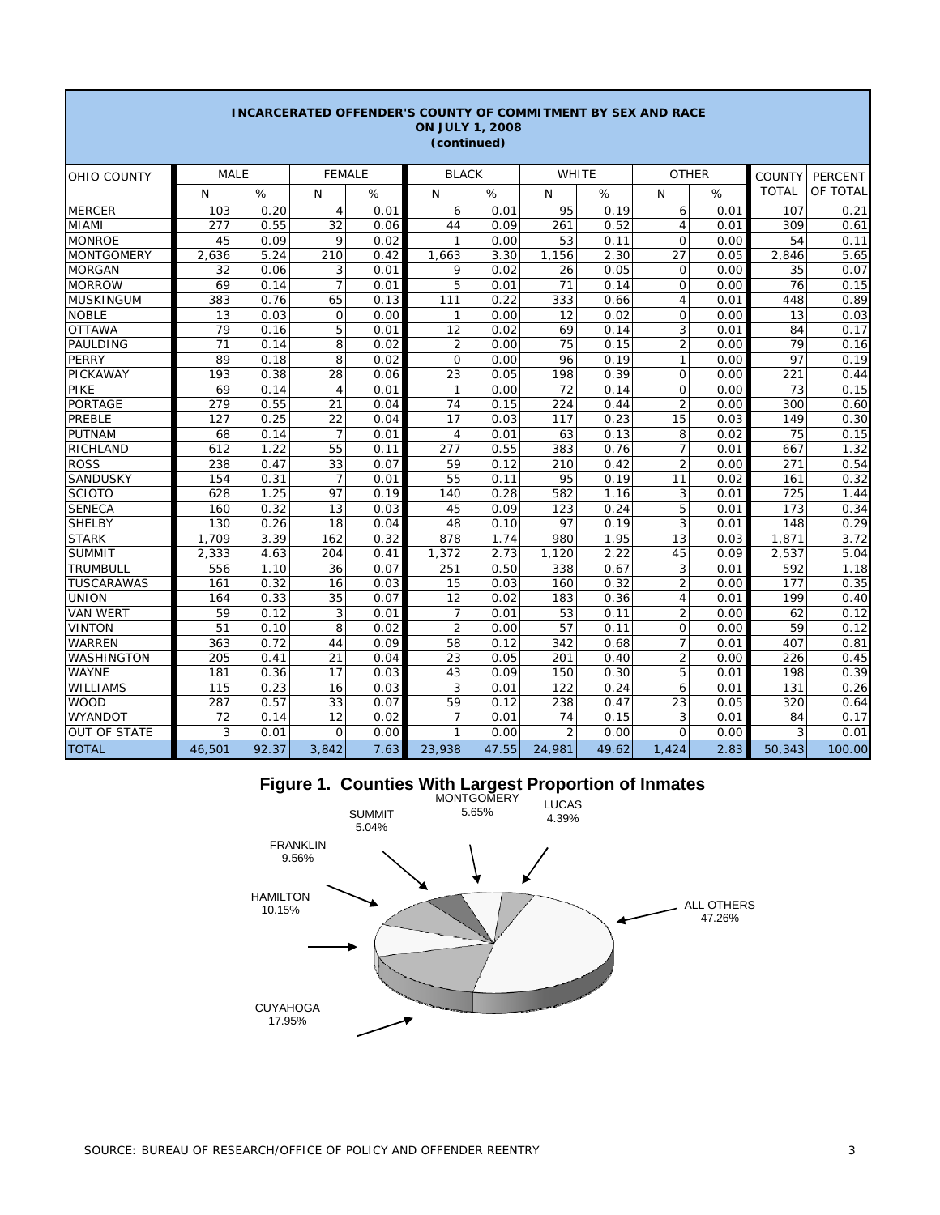| <b>INCARCERATED OFFENDER'S COUNTY OF COMMITMENT BY SEX AND RACE</b><br><b>ON JULY 1, 2008</b><br>(continued) |             |       |                |      |                |       |                |       |                |      |               |          |  |
|--------------------------------------------------------------------------------------------------------------|-------------|-------|----------------|------|----------------|-------|----------------|-------|----------------|------|---------------|----------|--|
| OHIO COUNTY                                                                                                  | <b>MALE</b> |       | <b>FEMALE</b>  |      | <b>BLACK</b>   |       | WHITE          |       | <b>OTHER</b>   |      | <b>COUNTY</b> | PERCENT  |  |
|                                                                                                              | N           | %     | N              | %    | $\mathsf{N}$   | %     | N              | %     | N              | %    | <b>TOTAL</b>  | OF TOTAL |  |
| <b>MERCER</b>                                                                                                | 103         | 0.20  | $\overline{4}$ | 0.01 | 6              | 0.01  | 95             | 0.19  | 6              | 0.01 | 107           | 0.21     |  |
| <b>MIAMI</b>                                                                                                 | 277         | 0.55  | 32             | 0.06 | 44             | 0.09  | 261            | 0.52  | $\overline{4}$ | 0.01 | 309           | 0.61     |  |
| <b>MONROE</b>                                                                                                | 45          | 0.09  | 9              | 0.02 | $\mathbf{1}$   | 0.00  | 53             | 0.11  | $\mathbf 0$    | 0.00 | 54            | 0.11     |  |
| <b>MONTGOMERY</b>                                                                                            | 2,636       | 5.24  | 210            | 0.42 | 1,663          | 3.30  | 1,156          | 2.30  | 27             | 0.05 | 2,846         | 5.65     |  |
| <b>MORGAN</b>                                                                                                | 32          | 0.06  | 3              | 0.01 | 9              | 0.02  | 26             | 0.05  | $\mathbf 0$    | 0.00 | 35            | 0.07     |  |
| <b>MORROW</b>                                                                                                | 69          | 0.14  | $\overline{7}$ | 0.01 | 5              | 0.01  | 71             | 0.14  | $\Omega$       | 0.00 | 76            | 0.15     |  |
| <b>MUSKINGUM</b>                                                                                             | 383         | 0.76  | 65             | 0.13 | 111            | 0.22  | 333            | 0.66  | 4              | 0.01 | 448           | 0.89     |  |
| <b>NOBLE</b>                                                                                                 | 13          | 0.03  | $\mathbf 0$    | 0.00 | 1              | 0.00  | 12             | 0.02  | 0              | 0.00 | 13            | 0.03     |  |
| <b>OTTAWA</b>                                                                                                | 79          | 0.16  | 5              | 0.01 | 12             | 0.02  | 69             | 0.14  | 3              | 0.01 | 84            | 0.17     |  |
| <b>PAULDING</b>                                                                                              | 71          | 0.14  | 8              | 0.02 | $\overline{2}$ | 0.00  | 75             | 0.15  | $\overline{2}$ | 0.00 | 79            | 0.16     |  |
| <b>PERRY</b>                                                                                                 | 89          | 0.18  | 8              | 0.02 | $\circ$        | 0.00  | 96             | 0.19  | 1              | 0.00 | 97            | 0.19     |  |
| <b>PICKAWAY</b>                                                                                              | 193         | 0.38  | 28             | 0.06 | 23             | 0.05  | 198            | 0.39  | $\Omega$       | 0.00 | 221           | 0.44     |  |
| <b>PIKE</b>                                                                                                  | 69          | 0.14  | $\overline{4}$ | 0.01 | $\mathbf{1}$   | 0.00  | 72             | 0.14  | $\mathbf 0$    | 0.00 | 73            | 0.15     |  |
| PORTAGE                                                                                                      | 279         | 0.55  | 21             | 0.04 | 74             | 0.15  | 224            | 0.44  | $\overline{2}$ | 0.00 | 300           | 0.60     |  |
| <b>PREBLE</b>                                                                                                | 127         | 0.25  | 22             | 0.04 | 17             | 0.03  | 117            | 0.23  | 15             | 0.03 | 149           | 0.30     |  |
| <b>PUTNAM</b>                                                                                                | 68          | 0.14  | $\overline{7}$ | 0.01 | 4              | 0.01  | 63             | 0.13  | 8              | 0.02 | 75            | 0.15     |  |
| RICHLAND                                                                                                     | 612         | 1.22  | 55             | 0.11 | 277            | 0.55  | 383            | 0.76  | 7              | 0.01 | 667           | 1.32     |  |
| <b>ROSS</b>                                                                                                  | 238         | 0.47  | 33             | 0.07 | 59             | 0.12  | 210            | 0.42  | $\overline{2}$ | 0.00 | 271           | 0.54     |  |
| <b>SANDUSKY</b>                                                                                              | 154         | 0.31  | $\overline{7}$ | 0.01 | 55             | 0.11  | 95             | 0.19  | 11             | 0.02 | 161           | 0.32     |  |
| <b>SCIOTO</b>                                                                                                | 628         | 1.25  | 97             | 0.19 | 140            | 0.28  | 582            | 1.16  | 3              | 0.01 | 725           | 1.44     |  |
| <b>SENECA</b>                                                                                                | 160         | 0.32  | 13             | 0.03 | 45             | 0.09  | 123            | 0.24  | 5              | 0.01 | 173           | 0.34     |  |
| <b>SHELBY</b>                                                                                                | 130         | 0.26  | 18             | 0.04 | 48             | 0.10  | 97             | 0.19  | 3              | 0.01 | 148           | 0.29     |  |
| <b>STARK</b>                                                                                                 | 1.709       | 3.39  | 162            | 0.32 | 878            | 1.74  | 980            | 1.95  | 13             | 0.03 | 1,871         | 3.72     |  |
| <b>SUMMIT</b>                                                                                                | 2,333       | 4.63  | 204            | 0.41 | 1,372          | 2.73  | 1,120          | 2.22  | 45             | 0.09 | 2,537         | 5.04     |  |
| <b>TRUMBULL</b>                                                                                              | 556         | 1.10  | 36             | 0.07 | 251            | 0.50  | 338            | 0.67  | 3              | 0.01 | 592           | 1.18     |  |
| <b>TUSCARAWAS</b>                                                                                            | 161         | 0.32  | 16             | 0.03 | 15             | 0.03  | 160            | 0.32  | $\overline{2}$ | 0.00 | 177           | 0.35     |  |
| <b>UNION</b>                                                                                                 | 164         | 0.33  | 35             | 0.07 | 12             | 0.02  | 183            | 0.36  | $\overline{4}$ | 0.01 | 199           | 0.40     |  |
| <b>VAN WERT</b>                                                                                              | 59          | 0.12  | 3              | 0.01 | $\overline{7}$ | 0.01  | 53             | 0.11  | $\overline{2}$ | 0.00 | 62            | 0.12     |  |
| <b>VINTON</b>                                                                                                | 51          | 0.10  | 8              | 0.02 | $\overline{2}$ | 0.00  | 57             | 0.11  | 0              | 0.00 | 59            | 0.12     |  |
| <b>WARREN</b>                                                                                                | 363         | 0.72  | 44             | 0.09 | 58             | 0.12  | 342            | 0.68  | $\overline{7}$ | 0.01 | 407           | 0.81     |  |
| WASHINGTON                                                                                                   | 205         | 0.41  | 21             | 0.04 | 23             | 0.05  | 201            | 0.40  | $\overline{2}$ | 0.00 | 226           | 0.45     |  |
| <b>WAYNE</b>                                                                                                 | 181         | 0.36  | 17             | 0.03 | 43             | 0.09  | 150            | 0.30  | 5              | 0.01 | 198           | 0.39     |  |
| <b>WILLIAMS</b>                                                                                              | 115         | 0.23  | 16             | 0.03 | 3              | 0.01  | 122            | 0.24  | 6              | 0.01 | 131           | 0.26     |  |
| <b>WOOD</b>                                                                                                  | 287         | 0.57  | 33             | 0.07 | 59             | 0.12  | 238            | 0.47  | 23             | 0.05 | 320           | 0.64     |  |
| <b>WYANDOT</b>                                                                                               | 72          | 0.14  | 12             | 0.02 | 7              | 0.01  | 74             | 0.15  | 3              | 0.01 | 84            | 0.17     |  |
| <b>OUT OF STATE</b>                                                                                          | 3           | 0.01  | $\Omega$       | 0.00 | $\mathbf{1}$   | 0.00  | $\overline{2}$ | 0.00  | $\Omega$       | 0.00 | 3             | 0.01     |  |
| <b>TOTAL</b>                                                                                                 | 46,501      | 92.37 | 3,842          | 7.63 | 23,938         | 47.55 | 24,981         | 49.62 | 1,424          | 2.83 | 50,343        | 100.00   |  |

## **Figure 1. Counties With Largest Proportion of Inmates**



Г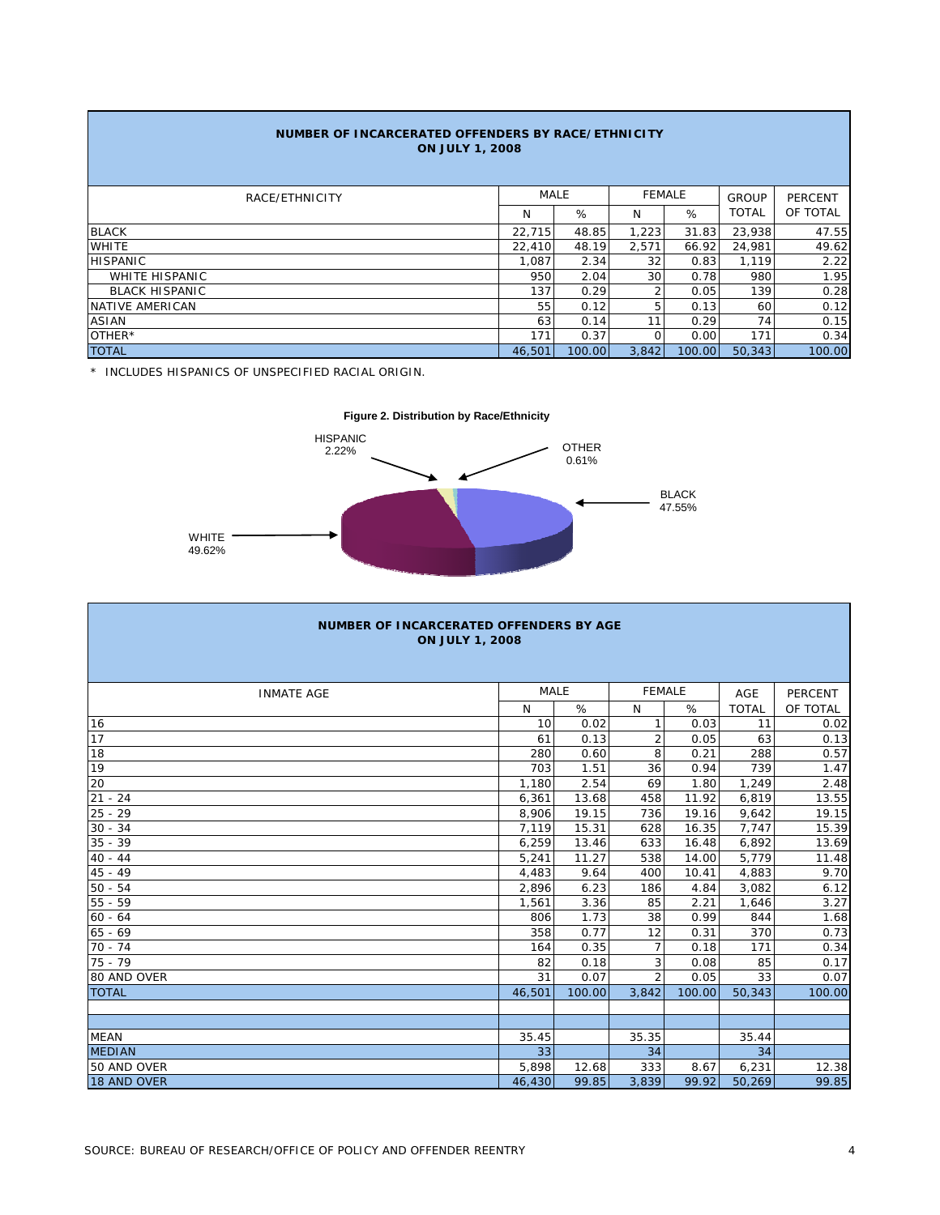| NUMBER OF INCARCERATED OFFENDERS BY RACE/ETHNICITY<br><b>ON JULY 1, 2008</b> |        |        |               |        |              |                |  |  |  |  |  |
|------------------------------------------------------------------------------|--------|--------|---------------|--------|--------------|----------------|--|--|--|--|--|
| RACE/ETHNICITY                                                               |        | MALE   | <b>FEMALE</b> |        | <b>GROUP</b> | <b>PERCENT</b> |  |  |  |  |  |
|                                                                              | N      | %      | N             | %      | <b>TOTAL</b> | OF TOTAL       |  |  |  |  |  |
| <b>BLACK</b>                                                                 | 22,715 | 48.85  | 1,223         | 31.83  | 23,938       | 47.55          |  |  |  |  |  |
| <b>WHITE</b>                                                                 | 22,410 | 48.19  | 2,571         | 66.92  | 24,981       | 49.62          |  |  |  |  |  |
| <b>HISPANIC</b>                                                              | 1.087  | 2.34   | 32            | 0.83   | 1,119        | 2.22           |  |  |  |  |  |
| <b>WHITE HISPANIC</b>                                                        | 950    | 2.04   | 30            | 0.78   | 980          | 1.95           |  |  |  |  |  |
| <b>BLACK HISPANIC</b>                                                        | 137    | 0.29   | 2             | 0.05   | 139          | 0.28           |  |  |  |  |  |
| NATIVE AMERICAN                                                              | 55     | 0.12   | 5             | 0.13   | 60           | 0.12           |  |  |  |  |  |
| <b>ASIAN</b>                                                                 | 63     | 0.14   | 11            | 0.29   | 74           | 0.15           |  |  |  |  |  |
| OTHER*                                                                       | 171    | 0.37   | $\circ$       | 0.00   | 171          | 0.34           |  |  |  |  |  |
| <b>TOTAL</b>                                                                 | 46,501 | 100.00 | 3.842         | 100.00 | 50.343       | 100.00         |  |  |  |  |  |

\* INCLUDES HISPANICS OF UNSPECIFIED RACIAL ORIGIN.



| <b>NUMBER OF INCARCERATED OFFENDERS BY AGE</b><br><b>ON JULY 1, 2008</b> |        |        |                |        |              |                |  |  |  |  |  |
|--------------------------------------------------------------------------|--------|--------|----------------|--------|--------------|----------------|--|--|--|--|--|
| <b>INMATE AGE</b>                                                        | MALE   |        | <b>FEMALE</b>  |        | AGE          | <b>PERCENT</b> |  |  |  |  |  |
|                                                                          | N      | %      | N              | %      | <b>TOTAL</b> | OF TOTAL       |  |  |  |  |  |
| 16                                                                       | 10     | 0.02   | 1              | 0.03   | 11           | 0.02           |  |  |  |  |  |
| 17                                                                       | 61     | 0.13   | $\overline{2}$ | 0.05   | 63           | 0.13           |  |  |  |  |  |
| 18                                                                       | 280    | 0.60   | 8              | 0.21   | 288          | 0.57           |  |  |  |  |  |
| 19                                                                       | 703    | 1.51   | 36             | 0.94   | 739          | 1.47           |  |  |  |  |  |
| 20                                                                       | 1,180  | 2.54   | 69             | 1.80   | 1,249        | 2.48           |  |  |  |  |  |
| $21 - 24$                                                                | 6,361  | 13.68  | 458            | 11.92  | 6,819        | 13.55          |  |  |  |  |  |
| $25 - 29$                                                                | 8,906  | 19.15  | 736            | 19.16  | 9,642        | 19.15          |  |  |  |  |  |
| $30 - 34$                                                                | 7.119  | 15.31  | 628            | 16.35  | 7,747        | 15.39          |  |  |  |  |  |
| $35 - 39$                                                                | 6,259  | 13.46  | 633            | 16.48  | 6,892        | 13.69          |  |  |  |  |  |
| $40 - 44$                                                                | 5,241  | 11.27  | 538            | 14.00  | 5,779        | 11.48          |  |  |  |  |  |
| $45 - 49$                                                                | 4,483  | 9.64   | 400            | 10.41  | 4,883        | 9.70           |  |  |  |  |  |
| $50 - 54$                                                                | 2.896  | 6.23   | 186            | 4.84   | 3,082        | 6.12           |  |  |  |  |  |
| $55 - 59$                                                                | 1,561  | 3.36   | 85             | 2.21   | 1,646        | 3.27           |  |  |  |  |  |
| $60 - 64$                                                                | 806    | 1.73   | 38             | 0.99   | 844          | 1.68           |  |  |  |  |  |
| $65 - 69$                                                                | 358    | 0.77   | 12             | 0.31   | 370          | 0.73           |  |  |  |  |  |
| $70 - 74$                                                                | 164    | 0.35   | $\overline{7}$ | 0.18   | 171          | 0.34           |  |  |  |  |  |
| $75 - 79$                                                                | 82     | 0.18   | 3              | 0.08   | 85           | 0.17           |  |  |  |  |  |
| 80 AND OVER                                                              | 31     | 0.07   | $\overline{2}$ | 0.05   | 33           | 0.07           |  |  |  |  |  |
| <b>TOTAL</b>                                                             | 46,501 | 100.00 | 3,842          | 100.00 | 50,343       | 100.00         |  |  |  |  |  |
|                                                                          |        |        |                |        |              |                |  |  |  |  |  |
|                                                                          |        |        |                |        |              |                |  |  |  |  |  |
| <b>MEAN</b>                                                              | 35.45  |        | 35.35          |        | 35.44        |                |  |  |  |  |  |
| <b>MEDIAN</b>                                                            | 33     |        | 34             |        | 34           |                |  |  |  |  |  |
| 50 AND OVER                                                              | 5,898  | 12.68  | 333            | 8.67   | 6,231        | 12.38          |  |  |  |  |  |
| 18 AND OVER                                                              | 46,430 | 99.85  | 3,839          | 99.92  | 50,269       | 99.85          |  |  |  |  |  |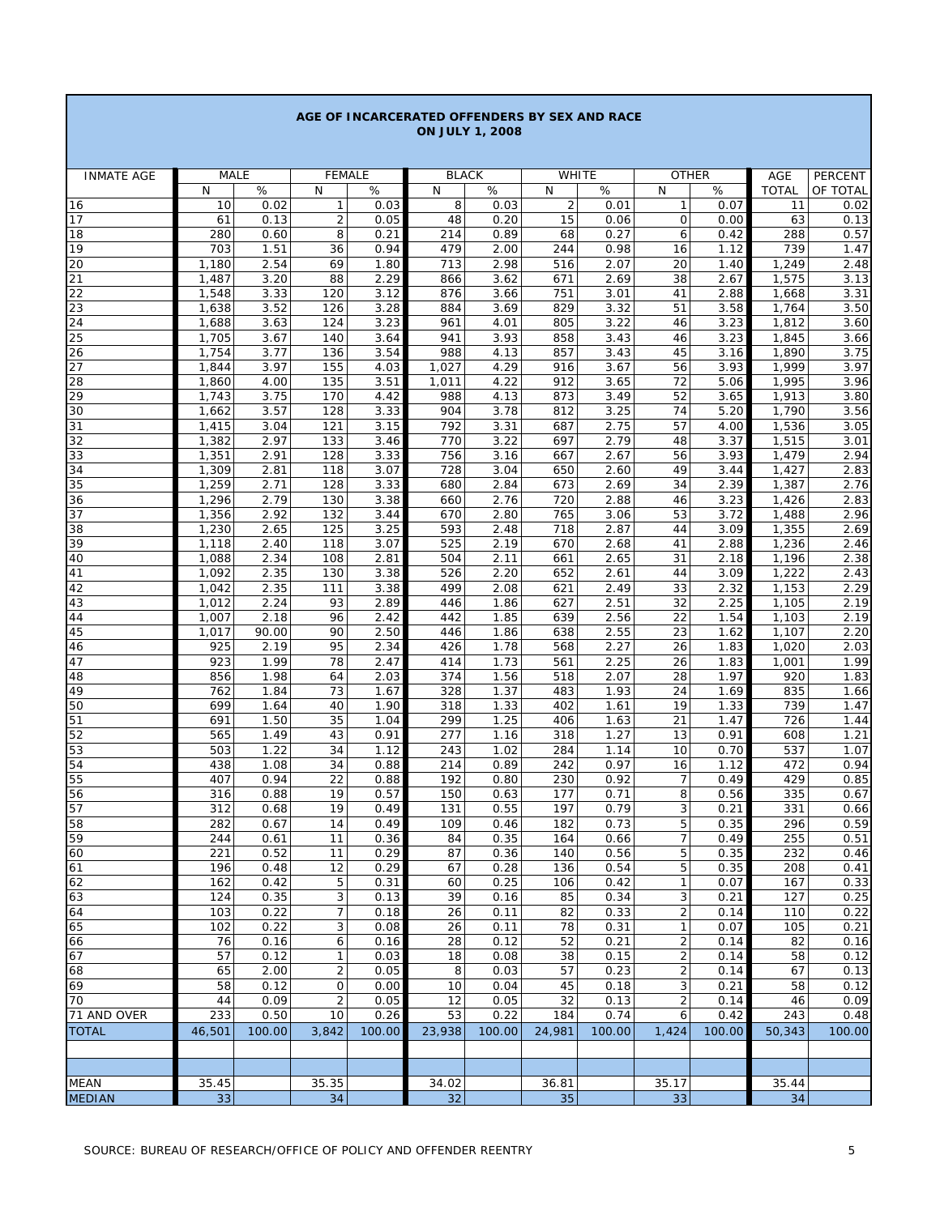| <b>ON JULY 1, 2008</b> |                |              |                                       |              |              |              |                     |                   |                     |              |                |                  |
|------------------------|----------------|--------------|---------------------------------------|--------------|--------------|--------------|---------------------|-------------------|---------------------|--------------|----------------|------------------|
|                        |                |              |                                       |              |              |              |                     |                   |                     |              |                |                  |
| <b>INMATE AGE</b>      | <b>MALE</b>    |              | <b>FEMALE</b>                         |              | <b>BLACK</b> |              | WHITE               |                   | <b>OTHER</b>        |              | AGE            | PERCENT          |
| 16                     | N<br>10        | $\%$<br>0.02 | N<br>$\mathbf{1}$                     | $\%$<br>0.03 | N<br>8       | $\%$<br>0.03 | N<br>$\overline{2}$ | $\%$<br>0.01      | N<br>$\mathbf{1}$   | %<br>0.07    | <b>TOTAL</b>   | OF TOTAL<br>0.02 |
| 17                     | 61             | 0.13         | $\overline{2}$                        | 0.05         | 48           | 0.20         | 15                  | 0.06              | 0                   | 0.00         | 11<br>63       | 0.13             |
| 18                     | 280            | 0.60         | 8                                     | 0.21         | 214          | 0.89         | 68                  | 0.27              | 6                   | 0.42         | 288            | 0.57             |
| 19                     | 703            | 1.51         | 36                                    | 0.94         | 479          | 2.00         | 244                 | 0.98              | 16                  | 1.12         | 739            | 1.47             |
| 20                     | 1,180          | 2.54         | 69                                    | 1.80         | 713          | 2.98         | 516                 | 2.07              | 20                  | 1.40         | 1,249          | 2.48             |
| 21                     | 1,487          | 3.20         | 88                                    | 2.29         | 866          | 3.62         | 671                 | 2.69              | 38                  | 2.67         | 1,575          | 3.13             |
| 22<br>23               | 1,548<br>1,638 | 3.33<br>3.52 | 120<br>126                            | 3.12<br>3.28 | 876<br>884   | 3.66<br>3.69 | 751<br>829          | 3.01<br>3.32      | 41<br>51            | 2.88<br>3.58 | 1,668<br>1,764 | 3.31<br>3.50     |
| 24                     | 1,688          | 3.63         | 124                                   | 3.23         | 961          | 4.01         | 805                 | 3.22              | 46                  | 3.23         | 1,812          | 3.60             |
| 25                     | 1,705          | 3.67         | 140                                   | 3.64         | 941          | 3.93         | 858                 | 3.43              | 46                  | 3.23         | 1,845          | 3.66             |
| 26                     | 1,754          | 3.77         | 136                                   | 3.54         | 988          | 4.13         | 857                 | 3.43              | 45                  | 3.16         | 1,890          | 3.75             |
| 27                     | 1,844          | 3.97         | 155                                   | 4.03         | 1,027        | 4.29         | 916                 | 3.67              | 56                  | 3.93         | 1,999          | 3.97             |
| 28                     | 1,860          | 4.00         | 135                                   | 3.51         | 1,011        | 4.22         | 912                 | 3.65              | 72                  | 5.06         | 1,995          | 3.96             |
| 29<br>30               | 1,743<br>1,662 | 3.75<br>3.57 | 170<br>128                            | 4.42<br>3.33 | 988<br>904   | 4.13<br>3.78 | 873<br>812          | 3.49<br>3.25      | 52<br>74            | 3.65<br>5.20 | 1,913<br>1,790 | 3.80<br>3.56     |
| 31                     | 1,415          | 3.04         | 121                                   | 3.15         | 792          | 3.31         | 687                 | 2.75              | 57                  | 4.00         | 1,536          | 3.05             |
| 32                     | 1,382          | 2.97         | 133                                   | 3.46         | 770          | 3.22         | 697                 | 2.79              | 48                  | 3.37         | 1,515          | 3.01             |
| 33                     | 1,351          | 2.91         | 128                                   | 3.33         | 756          | 3.16         | 667                 | 2.67              | 56                  | 3.93         | 1,479          | 2.94             |
| 34                     | 1,309          | 2.81         | 118                                   | 3.07         | 728          | 3.04         | 650                 | 2.60              | 49                  | 3.44         | 1,427          | 2.83             |
| 35<br>36               | 1,259          | 2.71<br>2.79 | 128<br>130                            | 3.33<br>3.38 | 680<br>660   | 2.84<br>2.76 | 673<br>720          | 2.69<br>2.88      | 34<br>46            | 2.39<br>3.23 | 1,387          | 2.76<br>2.83     |
| 37                     | 1,296<br>1,356 | 2.92         | 132                                   | 3.44         | 670          | 2.80         | 765                 | 3.06              | 53                  | 3.72         | 1,426<br>1,488 | 2.96             |
| 38                     | 1,230          | 2.65         | 125                                   | 3.25         | 593          | 2.48         | 718                 | 2.87              | 44                  | 3.09         | 1,355          | 2.69             |
| 39                     | 1,118          | 2.40         | 118                                   | 3.07         | 525          | 2.19         | 670                 | 2.68              | 41                  | 2.88         | 1,236          | 2.46             |
| 40                     | 1,088          | 2.34         | 108                                   | 2.81         | 504          | 2.11         | 661                 | 2.65              | 31                  | 2.18         | 1,196          | 2.38             |
| 41                     | 1,092          | 2.35         | 130                                   | 3.38         | 526          | 2.20         | 652                 | 2.61              | 44                  | 3.09         | 1,222          | 2.43             |
| 42                     | 1,042<br>1,012 | 2.35<br>2.24 | 111<br>93                             | 3.38<br>2.89 | 499<br>446   | 2.08<br>1.86 | 621<br>627          | 2.49<br>2.51      | 33<br>32            | 2.32<br>2.25 | 1,153<br>1,105 | 2.29<br>2.19     |
| 43<br>44               | 1,007          | 2.18         | 96                                    | 2.42         | 442          | 1.85         | 639                 | 2.56              | 22                  | 1.54         | 1,103          | 2.19             |
| 45                     | 1,017          | 90.00        | 90                                    | 2.50         | 446          | 1.86         | 638                 | 2.55              | 23                  | 1.62         | 1,107          | 2.20             |
| 46                     | 925            | 2.19         | 95                                    | 2.34         | 426          | 1.78         | 568                 | 2.27              | 26                  | 1.83         | 1,020          | 2.03             |
| 47                     | 923            | 1.99         | 78                                    | 2.47         | 414          | 1.73         | 561                 | 2.25              | 26                  | 1.83         | 1,001          | 1.99             |
| 48                     | 856            | 1.98         | 64                                    | 2.03         | 374          | 1.56         | 518                 | 2.07              | 28                  | 1.97         | 920            | 1.83             |
| 49<br>50               | 762<br>699     | 1.84<br>1.64 | 73<br>40                              | 1.67<br>1.90 | 328<br>318   | 1.37<br>1.33 | 483<br>402          | 1.93<br>1.61      | 24<br>19            | 1.69<br>1.33 | 835<br>739     | 1.66<br>1.47     |
| 51                     | 691            | 1.50         | 35                                    | 1.04         | 299          | 1.25         | 406                 | $\overline{1.63}$ | 21                  | 1.47         | 726            | 1.44             |
| 52                     | 565            | 1.49         | 43                                    | 0.91         | 277          | 1.16         | 318                 | 1.27              | 13                  | 0.91         | 608            | 1.21             |
| 53                     | 503            | 1.22         | 34                                    | 1.12         | 243          | 1.02         | 284                 | 1.14              | 10                  | 0.70         | 537            | 1.07             |
| 54                     | 438            | 1.08         | 34                                    | 0.88         | 214          | 0.89         | 242                 | 0.97              | 16                  | 1.12         | 472            | 0.94             |
| 55                     | 407            | 0.94         | 22                                    | 0.88         | 192          | 0.80         | 230                 | 0.92              | $\overline{7}$      | 0.49         | 429            | 0.85             |
| 56<br>57               | 316<br>312     | 0.88<br>0.68 | 19<br>19                              | 0.57<br>0.49 | 150<br>131   | 0.63<br>0.55 | 177<br>197          | 0.71<br>0.79      | 8<br>3              | 0.56<br>0.21 | 335<br>331     | 0.67<br>0.66     |
| 58                     | 282            | 0.67         | 14                                    | 0.49         | 109          | 0.46         | 182                 | 0.73              | 5                   | 0.35         | 296            | 0.59             |
| 59                     | 244            | 0.61         | 11                                    | 0.36         | 84           | 0.35         | 164                 | 0.66              | $\overline{7}$      | 0.49         | 255            | 0.51             |
| 60                     | 221            | 0.52         | 11                                    | 0.29         | 87           | 0.36         | 140                 | 0.56              | 5                   | 0.35         | 232            | 0.46             |
| 61                     | 196            | 0.48         | 12                                    | 0.29         | 67           | 0.28         | 136                 | 0.54              | 5                   | 0.35         | 208            | 0.41             |
| 62                     | 162            | 0.42         | $\mathbf 5$                           | 0.31         | 60           | 0.25         | 106                 | 0.42              | $\mathbf{1}$        | 0.07         | 167            | 0.33             |
| 63<br>64               | 124<br>103     | 0.35<br>0.22 | $\sqrt{3}$<br>7                       | 0.13<br>0.18 | 39<br>26     | 0.16<br>0.11 | 85<br>82            | 0.34<br>0.33      | 3<br>$\overline{c}$ | 0.21<br>0.14 | 127<br>110     | 0.25<br>0.22     |
| 65                     | 102            | 0.22         | 3                                     | 0.08         | 26           | 0.11         | 78                  | 0.31              | $\mathbf{1}$        | 0.07         | 105            | 0.21             |
| 66                     | 76             | 0.16         | 6                                     | 0.16         | 28           | 0.12         | 52                  | 0.21              | $\mathbf 2$         | 0.14         | 82             | 0.16             |
| 67                     | 57             | 0.12         | $\mathbf{1}$                          | 0.03         | 18           | 0.08         | 38                  | 0.15              | 2                   | 0.14         | 58             | 0.12             |
| 68                     | 65             | 2.00         | $\overline{2}$                        | 0.05         | 8            | 0.03         | 57                  | 0.23              | $\overline{c}$      | 0.14         | 67             | 0.13             |
| 69<br>70               | 58             | 0.12<br>0.09 | $\mathsf{O}\xspace$<br>$\overline{2}$ | 0.00<br>0.05 | 10<br>12     | 0.04         | 45                  | 0.18<br>0.13      | 3<br>$\overline{c}$ | 0.21         | 58<br>46       | 0.12<br>0.09     |
| 71 AND OVER            | 44<br>233      | 0.50         | 10                                    | 0.26         | 53           | 0.05<br>0.22 | 32<br>184           | 0.74              | 6                   | 0.14<br>0.42 | 243            | 0.48             |
| <b>TOTAL</b>           | 46,501         | 100.00       | 3,842                                 | 100.00       | 23,938       | 100.00       | 24,981              | 100.00            | 1,424               | 100.00       | 50,343         | 100.00           |
|                        |                |              |                                       |              |              |              |                     |                   |                     |              |                |                  |
|                        |                |              |                                       |              |              |              |                     |                   |                     |              |                |                  |
| MEAN                   | 35.45          |              | 35.35                                 |              | 34.02        |              | 36.81               |                   | 35.17               |              | 35.44          |                  |
| <b>MEDIAN</b>          | 33             |              | 34                                    |              | 32           |              | 35                  |                   | 33                  |              | 34             |                  |

**AGE OF INCARCERATED OFFENDERS BY SEX AND RACE**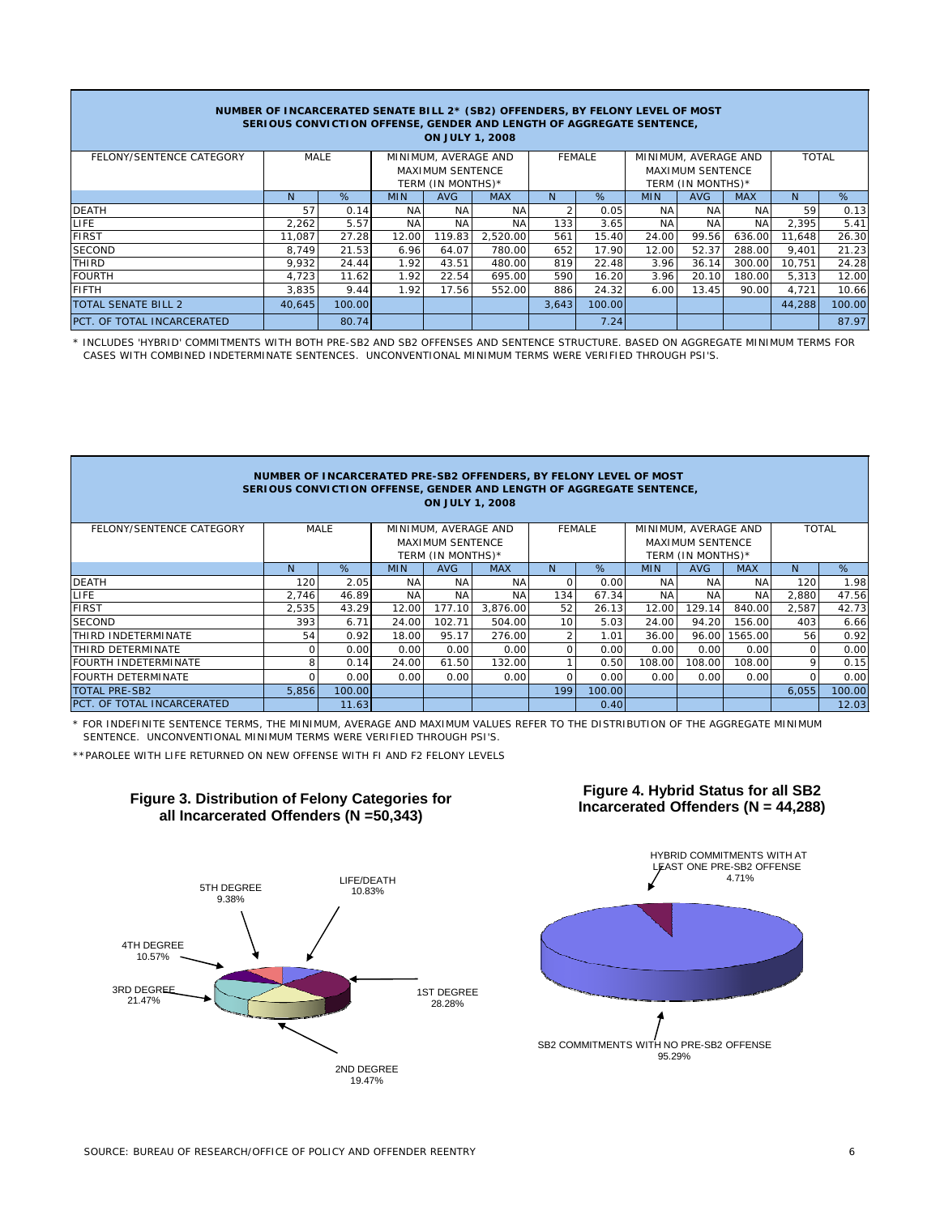| NUMBER OF INCARCERATED SENATE BILL 2* (SB2) OFFENDERS, BY FELONY LEVEL OF MOST<br>SERIOUS CONVICTION OFFENSE, GENDER AND LENGTH OF AGGREGATE SENTENCE,<br><b>ON JULY 1, 2008</b> |                              |        |                         |                   |               |       |                      |              |                   |            |        |        |
|----------------------------------------------------------------------------------------------------------------------------------------------------------------------------------|------------------------------|--------|-------------------------|-------------------|---------------|-------|----------------------|--------------|-------------------|------------|--------|--------|
| FELONY/SENTENCE CATEGORY                                                                                                                                                         | MINIMUM, AVERAGE AND<br>MALE |        |                         |                   | <b>FEMALE</b> |       | MINIMUM, AVERAGE AND | <b>TOTAL</b> |                   |            |        |        |
|                                                                                                                                                                                  |                              |        | <b>MAXIMUM SENTENCE</b> |                   |               |       |                      |              | MAXIMUM SENTENCE  |            |        |        |
|                                                                                                                                                                                  |                              |        |                         | TERM (IN MONTHS)* |               |       |                      |              | TERM (IN MONTHS)* |            |        |        |
|                                                                                                                                                                                  | <sup>N</sup>                 | %      | <b>MIN</b>              | AVG               | <b>MAX</b>    | N.    | %                    | <b>MIN</b>   | <b>AVG</b>        | <b>MAX</b> | N      | %      |
| <b>DEATH</b>                                                                                                                                                                     | 57                           | 0.14   | <b>NA</b>               | NA                | NA.           |       | 0.05                 | <b>NA</b>    | ΝA                | NA         | 59     | 0.13   |
| LIFE.                                                                                                                                                                            | 2.262                        | 5.57   | <b>NA</b>               | <b>NA</b>         | NA            | 133   | 3.65                 | ΝA           | <b>NA</b>         | <b>NA</b>  | 2,395  | 5.41   |
| <b>FIRST</b>                                                                                                                                                                     | 11.087                       | 27.28  | 12.00                   | 119.83            | 2,520.00      | 561   | 15.40                | 24.00        | 99.56             | 636.00     | 11,648 | 26.30  |
| <b>SECOND</b>                                                                                                                                                                    | 8.749                        | 21.53  | 6.96                    | 64.07             | 780.00        | 652   | 17.90                | 12.00        | 52.37             | 288.00     | 9,401  | 21.23  |
| <b>THIRD</b>                                                                                                                                                                     | 9.932                        | 24.44  | 1.92                    | 43.51             | 480.00        | 819   | 22.48                | 3.96         | 36.14             | 300.00     | 10.751 | 24.28  |
| <b>FOURTH</b>                                                                                                                                                                    | 4.723                        | 11.62  | 1.92                    | 22.54             | 695.00        | 590   | 16.20                | 3.96         | 20.10             | 180.00     | 5,313  | 12.00  |
| <b>FIFTH</b>                                                                                                                                                                     | 3,835                        | 9.44   | 1.92                    | 17.56             | 552.00        | 886   | 24.32                | 6.00         | 13.45             | 90.00      | 4.721  | 10.66  |
| TOTAL SENATE BILL 2                                                                                                                                                              | 40.645                       | 100.00 |                         |                   |               | 3.643 | 100.00               |              |                   |            | 44.288 | 100.00 |
| PCT. OF TOTAL INCARCERATED                                                                                                                                                       |                              | 80.74  |                         |                   |               |       | 7.24                 |              |                   |            |        | 87.97  |

\* INCLUDES 'HYBRID' COMMITMENTS WITH BOTH PRE-SB2 AND SB2 OFFENSES AND SENTENCE STRUCTURE. BASED ON AGGREGATE MINIMUM TERMS FOR CASES WITH COMBINED INDETERMINATE SENTENCES. UNCONVENTIONAL MINIMUM TERMS WERE VERIFIED THROUGH PSI'S.

| NUMBER OF INCARCERATED PRE-SB2 OFFENDERS, BY FELONY LEVEL OF MOST<br>SERIOUS CONVICTION OFFENSE, GENDER AND LENGTH OF AGGREGATE SENTENCE,<br><b>ON JULY 1, 2008</b> |       |                              |                                              |            |            |               |        |            |                                              |            |              |        |
|---------------------------------------------------------------------------------------------------------------------------------------------------------------------|-------|------------------------------|----------------------------------------------|------------|------------|---------------|--------|------------|----------------------------------------------|------------|--------------|--------|
| FELONY/SENTENCE CATEGORY                                                                                                                                            |       | MINIMUM, AVERAGE AND<br>MALE |                                              |            |            | <b>FEMALE</b> |        |            | MINIMUM, AVERAGE AND                         |            | <b>TOTAL</b> |        |
|                                                                                                                                                                     |       |                              | <b>MAXIMUM SENTENCE</b><br>TERM (IN MONTHS)* |            |            |               |        |            | <b>MAXIMUM SENTENCE</b><br>TERM (IN MONTHS)* |            |              |        |
|                                                                                                                                                                     | N     | %                            | <b>MIN</b>                                   | <b>AVG</b> | <b>MAX</b> | N.            | %      | <b>MIN</b> | <b>AVG</b>                                   | <b>MAX</b> | N.           | %      |
| <b>DEATH</b>                                                                                                                                                        | 120   | 2.05                         | <b>NA</b>                                    | <b>NA</b>  | <b>NA</b>  | $\Omega$      | 0.00   | <b>NA</b>  | <b>NA</b>                                    | <b>NA</b>  | 120          | 1.98   |
| LIFE.                                                                                                                                                               | 2.746 | 46.89                        | <b>NA</b>                                    | <b>NA</b>  | <b>NA</b>  | 134           | 67.34  | <b>NA</b>  | <b>NA</b>                                    | <b>NA</b>  | 2,880        | 47.56  |
| <b>FIRST</b>                                                                                                                                                        | 2,535 | 43.29                        | 12.00                                        | 177.10     | 3.876.00   | 52            | 26.13  | 12.00      | 129.14                                       | 840.00     | 2,587        | 42.73  |
| <b>SECOND</b>                                                                                                                                                       | 393   | 6.71                         | 24.00                                        | 102.71     | 504.00     | 10            | 5.03   | 24.00      | 94.20                                        | 156.00     | 403          | 6.66   |
| THIRD INDETERMINATE                                                                                                                                                 | 54    | 0.92                         | 18.00                                        | 95.17      | 276.00     |               | 1.01   | 36.00      | 96.00                                        | 1565.00    | 56           | 0.92   |
| THIRD DETERMINATE                                                                                                                                                   | 0     | 0.00                         | 0.00                                         | 0.00       | 0.00       |               | 0.00   | 0.00       | 0.00                                         | 0.00       | $\Omega$     | 0.00   |
| <b>FOURTH INDETERMINATE</b>                                                                                                                                         | 8     | 0.14                         | 24.00                                        | 61.50      | 132.00     |               | 0.50   | 108.00     | 108.00                                       | 108.00     | 9            | 0.15   |
| <b>FOURTH DETERMINATE</b>                                                                                                                                           | 0     | 0.00                         | 0.00                                         | 0.00       | 0.00       | $\Omega$      | 0.00   | 0.00       | 0.00                                         | 0.00       | O            | 0.00   |
| <b>TOTAL PRE-SB2</b>                                                                                                                                                | 5.856 | 100.00                       |                                              |            |            | 199           | 100.00 |            |                                              |            | 6,055        | 100.00 |
| PCT. OF TOTAL INCARCERATED                                                                                                                                          |       | 11.63                        |                                              |            |            |               | 0.40   |            |                                              |            |              | 12.03  |

\* FOR INDEFINITE SENTENCE TERMS, THE MINIMUM, AVERAGE AND MAXIMUM VALUES REFER TO THE DISTRIBUTION OF THE AGGREGATE MINIMUM SENTENCE. UNCONVENTIONAL MINIMUM TERMS WERE VERIFIED THROUGH PSI'S.

\*\*PAROLEE WITH LIFE RETURNED ON NEW OFFENSE WITH FI AND F2 FELONY LEVELS



# **Figure 3. Distribution of Felony Categories for all Incarcerated Offenders (N =50,343)**



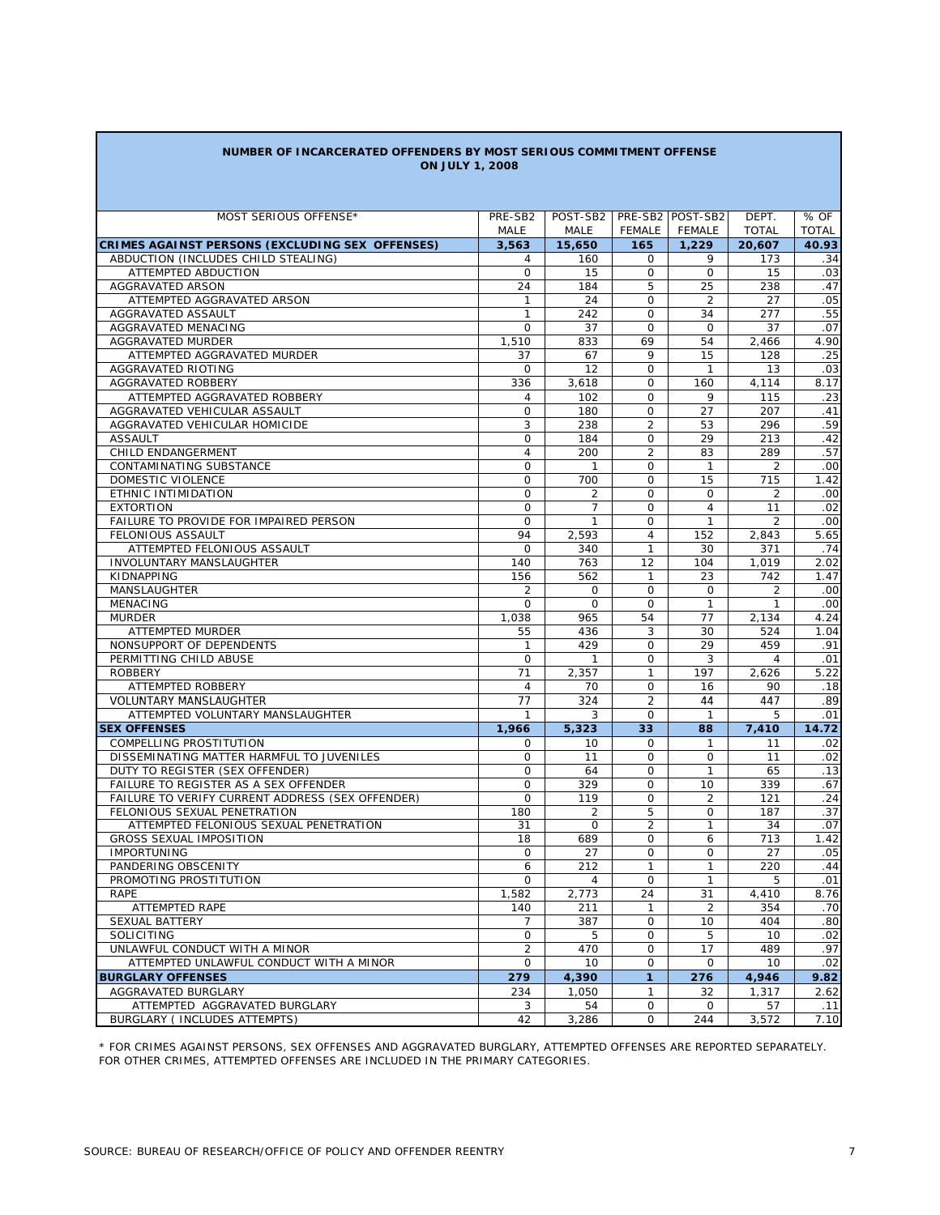| NUMBER OF INCARCERATED OFFENDERS BY MOST SERIOUS COMMITMENT OFFENSE |  |
|---------------------------------------------------------------------|--|
| <b>ON JULY 1, 2008</b>                                              |  |

| MOST SERIOUS OFFENSE*                                                    | PRE-SB2                      | POST-SB2   PRE-SB2   POST-SB2 |                               |                      | DEPT.                | % OF         |
|--------------------------------------------------------------------------|------------------------------|-------------------------------|-------------------------------|----------------------|----------------------|--------------|
|                                                                          | MALE                         | MALE                          | FEMALE                        | <b>FEMALE</b>        | <b>TOTAL</b>         | <b>TOTAL</b> |
| <b>CRIMES AGAINST PERSONS (EXCLUDING SEX OFFENSES)</b>                   | 3,563                        | 15,650                        | 165                           | 1,229                | 20,607               | 40.93        |
| ABDUCTION (INCLUDES CHILD STEALING)                                      | 4                            | 160                           | 0                             | 9                    | 173                  | .34          |
| ATTEMPTED ABDUCTION                                                      | 0                            | 15                            | $\mathbf 0$                   | $\mathbf 0$          | 15                   | .03          |
| AGGRAVATED ARSON<br>ATTEMPTED AGGRAVATED ARSON                           | 24                           | 184                           | 5                             | 25                   | 238                  | .47<br>.05   |
| AGGRAVATED ASSAULT                                                       | $\mathbf{1}$<br>$\mathbf{1}$ | 24                            | $\mathbf 0$<br>$\Omega$       | $\overline{2}$<br>34 | 27<br>277            |              |
|                                                                          | $\mathbf 0$                  | 242<br>37                     | $\mathbf 0$                   | $\mathbf 0$          | 37                   | .55<br>.07   |
| AGGRAVATED MENACING                                                      |                              |                               | 69                            | 54                   |                      |              |
| AGGRAVATED MURDER                                                        | 1,510                        | 833                           | 9                             |                      | 2,466                | 4.90         |
| ATTEMPTED AGGRAVATED MURDER                                              | 37                           | 67                            |                               | 15                   | 128                  | .25          |
| AGGRAVATED RIOTING                                                       | $\mathsf{O}$                 | 12                            | $\mathbf 0$                   | $\mathbf{1}$         | 13                   | .03          |
| AGGRAVATED ROBBERY                                                       | 336                          | 3,618                         | $\mathbf 0$                   | 160                  | 4,114                | 8.17         |
| ATTEMPTED AGGRAVATED ROBBERY                                             | $\overline{4}$               | 102                           | $\circ$                       | 9                    | 115                  | .23          |
| AGGRAVATED VEHICULAR ASSAULT                                             | 0                            | 180                           | $\mathbf 0$<br>$\overline{2}$ | 27                   | 207                  | .41<br>.59   |
| AGGRAVATED VEHICULAR HOMICIDE                                            | 3                            | 238<br>184                    |                               | 53<br>29             | 296                  | .42          |
| <b>ASSAULT</b>                                                           | 0                            |                               | $\mathbf 0$                   |                      | 213                  |              |
| CHILD ENDANGERMENT                                                       | $\overline{4}$               | 200                           | $\overline{2}$                | 83                   | 289                  | .57          |
| CONTAMINATING SUBSTANCE                                                  | $\mathbf 0$                  | $\mathbf{1}$                  | $\Omega$<br>$\Omega$          | $\mathbf{1}$         | $\overline{2}$       | .00          |
| DOMESTIC VIOLENCE                                                        | $\mathbf 0$                  | 700                           |                               | 15                   | 715                  | 1.42         |
| ETHNIC INTIMIDATION                                                      | $\mathbf 0$                  | $\overline{2}$                | $\Omega$                      | $\Omega$             | $\overline{2}$       | .00          |
| <b>EXTORTION</b>                                                         | $\mathbf{O}$                 | $\overline{7}$                | $\Omega$                      | $\overline{4}$       | 11<br>$\overline{2}$ | .02          |
| FAILURE TO PROVIDE FOR IMPAIRED PERSON                                   | $\mathbf 0$                  | $\mathbf{1}$                  | $\mathbf 0$                   | $\mathbf{1}$         |                      | .00          |
| FELONIOUS ASSAULT                                                        | 94                           | 2,593                         | $\overline{4}$                | 152                  | 2,843                | 5.65         |
| ATTEMPTED FELONIOUS ASSAULT                                              | $\mathbf 0$                  | 340                           | $\mathbf{1}$                  | 30                   | 371                  | .74          |
| <b>INVOLUNTARY MANSLAUGHTER</b>                                          | 140                          | 763                           | 12                            | 104                  | 1,019                | 2.02         |
| KIDNAPPING                                                               | 156                          | 562                           | $\mathbf{1}$                  | 23                   | 742                  | 1.47         |
| <b>MANSLAUGHTER</b>                                                      | $\overline{2}$               | $\mathbf 0$                   | $\mathbf 0$                   | $\mathbf 0$          | $\overline{2}$       | .00          |
| <b>MENACING</b>                                                          | 0                            | $\mathbf 0$                   | $\mathbf 0$                   | $\mathbf{1}$         | $\mathbf{1}$         | .00          |
| <b>MURDER</b>                                                            | 1,038                        | 965                           | 54                            | 77                   | 2,134                | 4.24         |
| <b>ATTEMPTED MURDER</b>                                                  | 55                           | 436                           | 3                             | 30                   | 524                  | 1.04         |
| NONSUPPORT OF DEPENDENTS                                                 | $\mathbf{1}$                 | 429                           | $\mathsf{O}$                  | 29                   | 459                  | .91          |
| PERMITTING CHILD ABUSE                                                   | 0                            | $\mathbf{1}$                  | $\mathbf 0$                   | 3                    | $\overline{4}$       | .01          |
| ROBBERY                                                                  | 71                           | 2,357                         | $\mathbf{1}$                  | 197                  | 2,626                | 5.22         |
| ATTEMPTED ROBBERY                                                        | $\overline{4}$               | 70                            | $\Omega$                      | 16                   | 90                   | .18          |
| <b>VOLUNTARY MANSLAUGHTER</b>                                            | 77                           | 324                           | $\overline{2}$<br>$\Omega$    | 44<br>$\mathbf{1}$   | 447                  | .89          |
| ATTEMPTED VOLUNTARY MANSLAUGHTER                                         | $\mathbf{1}$                 | 3                             |                               |                      | 5                    | .01          |
| <b>SEX OFFENSES</b>                                                      | 1,966                        | 5,323                         | 33                            | 88                   | 7,410                | 14.72        |
| COMPELLING PROSTITUTION                                                  | 0                            | 10                            | $\mathbf 0$                   | 1                    | 11                   | .02          |
| DISSEMINATING MATTER HARMFUL TO JUVENILES                                | 0                            | 11                            | 0                             | 0                    | 11                   | .02          |
| DUTY TO REGISTER (SEX OFFENDER)                                          | O                            | 64                            | 0                             | $\mathbf{1}$         | 65                   | .13          |
| FAILURE TO REGISTER AS A SEX OFFENDER                                    | 0                            | 329                           | $\Omega$                      | 10                   | 339                  | .67          |
| FAILURE TO VERIFY CURRENT ADDRESS (SEX OFFENDER)                         | O                            | 119                           | $\mathsf{O}$                  | 2                    | 121                  | .24          |
| FELONIOUS SEXUAL PENETRATION                                             | 180                          | $\overline{2}$<br>$\mathbf 0$ | 5<br>$\overline{c}$           | 0<br>1               | 187                  | .37<br>.07   |
| ATTEMPTED FELONIOUS SEXUAL PENETRATION<br><b>GROSS SEXUAL IMPOSITION</b> | 31<br>18                     | 689                           | $\mathsf{O}$                  | 6                    | 34<br>713            | 1.42         |
| <b>IMPORTUNING</b>                                                       | $\mathbf 0$                  | 27                            | 0                             | O                    | 27                   | .05          |
| PANDERING OBSCENITY                                                      | 6                            | 212                           | $\mathbf{1}$                  | 1                    | 220                  | .44          |
| PROMOTING PROSTITUTION                                                   | $\mathbf{O}$                 | 4                             | $\mathsf{O}$                  | $\mathbf{1}$         | 5                    | .01          |
| RAPE                                                                     | 1,582                        | 2,773                         | 24                            | 31                   | 4,410                | 8.76         |
| ATTEMPTED RAPE                                                           | 140                          | 211                           | $\mathbf{1}$                  | $\overline{2}$       | 354                  | .70          |
| <b>SEXUAL BATTERY</b>                                                    | 7                            | 387                           | 0                             | 10                   | 404                  | .80          |
| SOLICITING                                                               | 0                            | 5                             | $\mathbf 0$                   | 5                    | 10                   | .02          |
| UNLAWFUL CONDUCT WITH A MINOR                                            | $\overline{2}$               | 470                           | 0                             | 17                   | 489                  | .97          |
| ATTEMPTED UNLAWFUL CONDUCT WITH A MINOR                                  | $\mathbf{O}$                 | 10                            | 0                             | $\mathbf 0$          | 10                   | .02          |
| <b>BURGLARY OFFENSES</b>                                                 | 279                          | 4,390                         | 1                             | 276                  | 4,946                | 9.82         |
| AGGRAVATED BURGLARY                                                      |                              | 1.050                         |                               |                      |                      |              |
|                                                                          | 234                          |                               | 1                             | 32                   | 1,317                | 2.62         |
| ATTEMPTED AGGRAVATED BURGLARY                                            | 3                            | 54                            | 0                             | 0                    | 57                   | .11          |
| BURGLARY ( INCLUDES ATTEMPTS)                                            | 42                           | 3,286                         | 0                             | 244                  | 3,572                | 7.10         |

\* FOR CRIMES AGAINST PERSONS, SEX OFFENSES AND AGGRAVATED BURGLARY, ATTEMPTED OFFENSES ARE REPORTED SEPARATELY. FOR OTHER CRIMES, ATTEMPTED OFFENSES ARE INCLUDED IN THE PRIMARY CATEGORIES.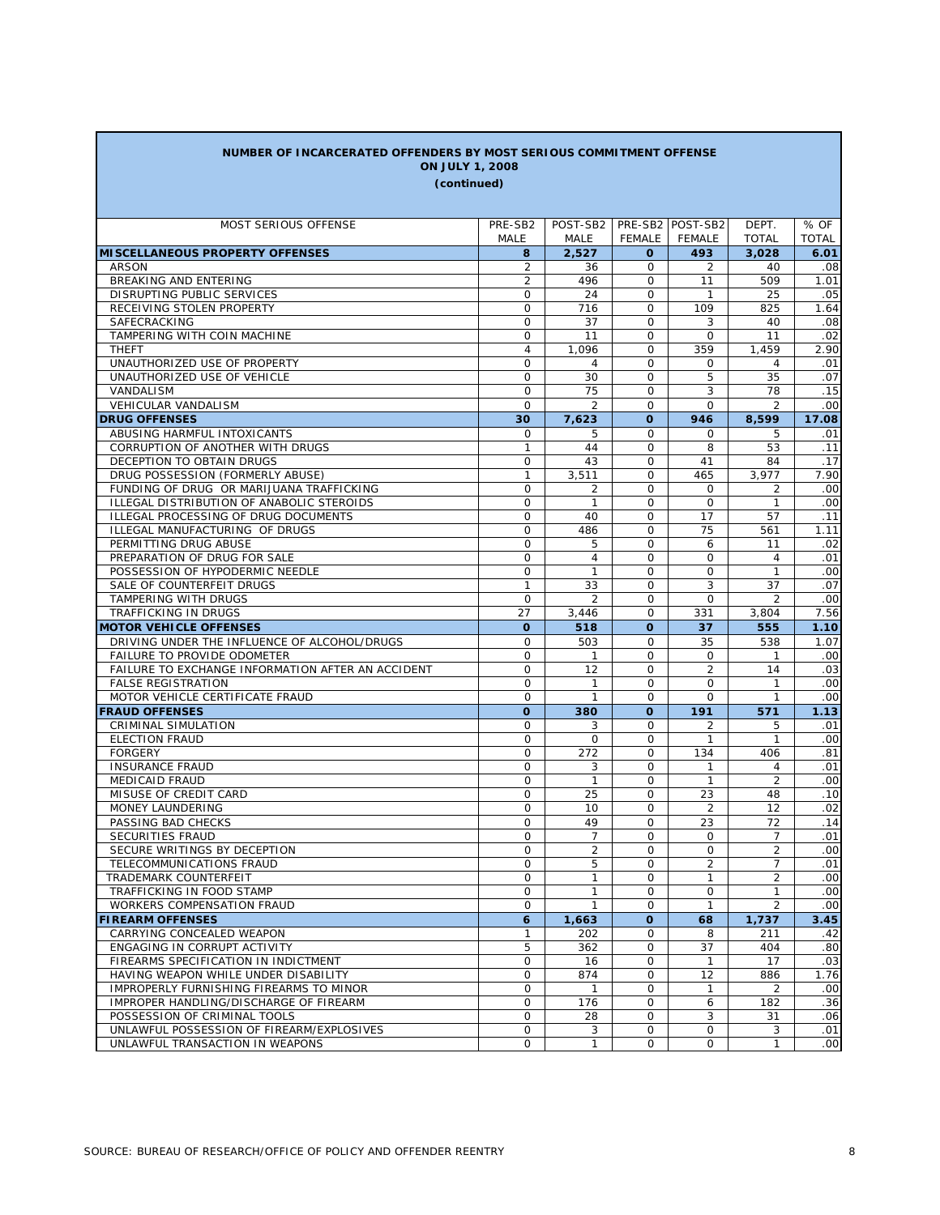| NUMBER OF INCARCERATED OFFENDERS BY MOST SERIOUS COMMITMENT OFFENSE |                    |                |                      |                  |                |                  |
|---------------------------------------------------------------------|--------------------|----------------|----------------------|------------------|----------------|------------------|
| <b>ON JULY 1, 2008</b>                                              |                    |                |                      |                  |                |                  |
| (continued)                                                         |                    |                |                      |                  |                |                  |
|                                                                     |                    |                |                      |                  |                |                  |
| MOST SERIOUS OFFENSE                                                | PRE-SB2            | POST-SB2       |                      | PRE-SB2 POST-SB2 | DEPT.          | % OF             |
|                                                                     | MALE               | <b>MALE</b>    | FEMALE               | FEMALE           | <b>TOTAL</b>   | <b>TOTAL</b>     |
| <b>MISCELLANEOUS PROPERTY OFFENSES</b>                              | 8                  | 2,527          | 0                    | 493              | 3,028          | 6.01             |
| <b>ARSON</b>                                                        | 2                  | 36             | 0                    | 2                | 40             | .08              |
| BREAKING AND ENTERING                                               | 2                  | 496            | $\mathbf 0$          | 11               | 509            | 1.01             |
| DISRUPTING PUBLIC SERVICES                                          | 0                  | 24             | $\mathbf 0$          | $\mathbf{1}$     | 25             | .05              |
| RECEIVING STOLEN PROPERTY                                           | 0                  | 716            | $\mathbf 0$          | 109              | 825            | 1.64             |
| SAFECRACKING                                                        | O                  | 37             | $\mathbf 0$          | 3                | 40             | .08              |
| TAMPERING WITH COIN MACHINE                                         | O                  | 11             | $\mathbf 0$          | 0                | 11             | .02              |
| <b>THEFT</b>                                                        | $\overline{4}$     | 1,096          | $\mathbf 0$          | 359              | 1,459          | 2.90             |
| UNAUTHORIZED USE OF PROPERTY                                        | O                  | 4              | $\mathbf 0$          | 0                | 4              | .01              |
| UNAUTHORIZED USE OF VEHICLE                                         | O                  | 30             | $\mathbf 0$          | 5                | 35             | .07              |
| VANDALISM                                                           | 0                  | 75             | $\mathbf 0$          | 3                | 78             | .15              |
| VEHICULAR VANDALISM                                                 | O                  | $\overline{2}$ | 0                    | $\Omega$         | 2              | .00              |
| <b>DRUG OFFENSES</b>                                                | 30                 | 7,623          | $\Omega$             | 946              | 8,599          | 17.08            |
| ABUSING HARMFUL INTOXICANTS                                         | 0                  | 5              | $\Omega$             | $\Omega$         | 5              | .01              |
| CORRUPTION OF ANOTHER WITH DRUGS                                    | $\mathbf{1}$       | 44             | $\Omega$             | 8                | 53             | .11              |
| DECEPTION TO OBTAIN DRUGS                                           | 0                  | 43             | $\Omega$             | 41               | 84             | .17              |
| DRUG POSSESSION (FORMERLY ABUSE)                                    | $\mathbf{1}$       | 3,511          | $\Omega$             | 465              | 3.977          | 7.90             |
| FUNDING OF DRUG OR MARIJUANA TRAFFICKING                            | 0                  | 2              | $\Omega$             | $\Omega$         | 2              | .00              |
| ILLEGAL DISTRIBUTION OF ANABOLIC STEROIDS                           | 0                  | 1              | $\Omega$             | $\Omega$         | 1              | .00              |
| ILLEGAL PROCESSING OF DRUG DOCUMENTS                                | 0                  | 40             | $\mathbf 0$          | 17               | 57             | .11              |
| ILLEGAL MANUFACTURING OF DRUGS                                      | $\mathbf{O}$       | 486            | $\Omega$             | 75               | 561            | 1.11             |
| PERMITTING DRUG ABUSE                                               | 0                  | 5              | $\Omega$             | 6                | 11             | .02              |
| PREPARATION OF DRUG FOR SALE                                        | $\mathbf{O}$       | $\overline{4}$ | $\Omega$             | $\Omega$         | 4              | .01              |
| POSSESSION OF HYPODERMIC NEEDLE                                     | $\mathbf{O}$       | $\mathbf{1}$   | $\Omega$             | 0                | $\mathbf{1}$   | .00              |
| SALE OF COUNTERFEIT DRUGS                                           | $\mathbf{1}$       | 33             | $\Omega$             | 3                | 37             | .07              |
| TAMPERING WITH DRUGS                                                | 0                  | $\overline{2}$ | $\Omega$<br>$\Omega$ | $\Omega$         | $\overline{2}$ | .00<br>7.56      |
| TRAFFICKING IN DRUGS<br><b>MOTOR VEHICLE OFFENSES</b>               | 27<br>$\mathbf{o}$ | 3,446          | O                    | 331              | 3,804          |                  |
| DRIVING UNDER THE INFLUENCE OF ALCOHOL/DRUGS                        | 0                  | 518<br>503     | $\Omega$             | 37<br>35         | 555<br>538     | 1.10<br>1.07     |
| FAILURE TO PROVIDE ODOMETER                                         | 0                  | $\mathbf{1}$   | 0                    | 0                | 1              | .00              |
| FAILURE TO EXCHANGE INFORMATION AFTER AN ACCIDENT                   | $\mathbf{O}$       | 12             | $\Omega$             | $\overline{2}$   | 14             | .03              |
| <b>FALSE REGISTRATION</b>                                           | 0                  | $\mathbf{1}$   | 0                    | 0                | 1              | .00              |
| MOTOR VEHICLE CERTIFICATE FRAUD                                     | 0                  | $\mathbf{1}$   | 0                    | $\Omega$         | $\mathbf{1}$   | .00              |
| <b>FRAUD OFFENSES</b>                                               | O                  | 380            | $\mathbf{o}$         | 191              | 571            | 1.13             |
| CRIMINAL SIMULATION                                                 | 0                  | 3              | $\Omega$             | 2                | 5              | .01              |
| <b>ELECTION FRAUD</b>                                               | 0                  | 0              | $\mathbf 0$          | 1                | $\mathbf{1}$   | .00              |
| <b>FORGERY</b>                                                      | 0                  | 272            | $\Omega$             | 134              | 406            | .81              |
| <b>INSURANCE FRAUD</b>                                              | 0                  | 3              | $\mathbf 0$          | $\mathbf{1}$     | 4              | .01              |
| <b>MEDICAID FRAUD</b>                                               | 0                  | $\mathbf{1}$   | $\Omega$             | $\mathbf{1}$     | 2              | .00              |
| MISUSE OF CREDIT CARD                                               | 0                  | 25             | 0                    | 23               | 48             | .10              |
| MONEY LAUNDERING                                                    | 0                  | 10             | $\Omega$             | $\overline{2}$   | 12             | .02              |
| PASSING BAD CHECKS                                                  | $\circ$            | 49             | $\mathbf 0$          | 23               | 72             | .14              |
| SECURITIES FRAUD                                                    | $\Omega$           | $\overline{7}$ | $\Omega$             | $\Omega$         | $\overline{7}$ | .01              |
| SECURE WRITINGS BY DECEPTION                                        | 0                  | $\overline{2}$ | 0                    | 0                | $\overline{2}$ | .00 <sub>1</sub> |
| TELECOMMUNICATIONS FRAUD                                            | 0                  | 5              | $\mathsf{O}$         | 2                | $\overline{7}$ | .01              |
| TRADEMARK COUNTERFEIT                                               | 0                  | 1              | 0                    | 1                | $\overline{2}$ | .00              |
| TRAFFICKING IN FOOD STAMP                                           | 0                  | $\mathbf{1}$   | $\mathsf{O}$         | $\mathsf{O}$     | $\mathbf{1}$   | .00              |
| WORKERS COMPENSATION FRAUD                                          | 0                  | $\mathbf{1}$   | $\mathbf 0$          | $\mathbf{1}$     | $\overline{2}$ | .00              |
| <b>FIREARM OFFENSES</b>                                             | 6                  | 1,663          | $\mathbf{o}$         | 68               | 1,737          | 3.45             |
| CARRYING CONCEALED WEAPON                                           | $\mathbf{1}$       | 202            | $\mathbf 0$          | 8                | 211            | .42              |
| ENGAGING IN CORRUPT ACTIVITY                                        | 5                  | 362            | 0                    | 37               | 404            | .80              |
| FIREARMS SPECIFICATION IN INDICTMENT                                | 0                  | 16             | O                    | $\mathbf{1}$     | 17             | .03              |
| HAVING WEAPON WHILE UNDER DISABILITY                                | 0                  | 874            | 0                    | 12               | 886            | 1.76             |
| IMPROPERLY FURNISHING FIREARMS TO MINOR                             | 0                  | $\mathbf{1}$   | 0                    | $\mathbf{1}$     | 2              | .00              |
| IMPROPER HANDLING/DISCHARGE OF FIREARM                              | 0                  | 176            | 0                    | 6                | 182            | .36              |
| POSSESSION OF CRIMINAL TOOLS                                        | 0                  | 28             | 0                    | 3                | 31             | .06              |
| UNLAWFUL POSSESSION OF FIREARM/EXPLOSIVES                           | 0                  | 3              | 0                    | 0                | 3              | .01              |
| UNLAWFUL TRANSACTION IN WEAPONS                                     | 0                  | $\mathbf{1}$   | 0                    | 0                | $\mathbf{1}$   | .00 <sub>1</sub> |

Г